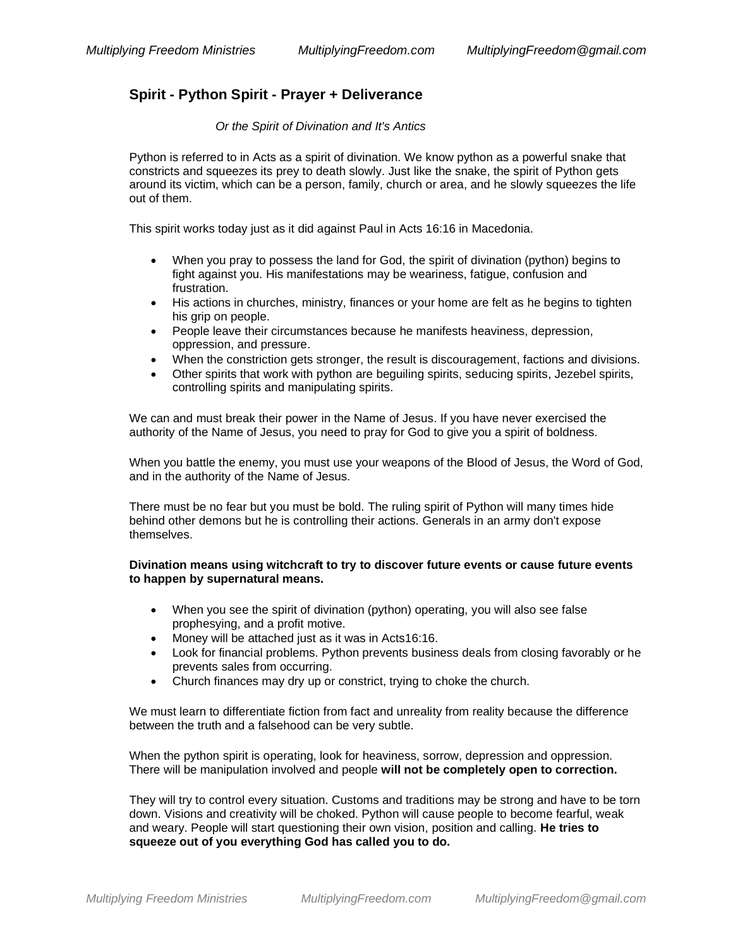# **Spirit - Python Spirit - Prayer + Deliverance**

## *Or the Spirit of Divination and It's Antics*

Python is referred to in Acts as a spirit of divination. We know python as a powerful snake that constricts and squeezes its prey to death slowly. Just like the snake, the spirit of Python gets around its victim, which can be a person, family, church or area, and he slowly squeezes the life out of them.

This spirit works today just as it did against Paul in Acts 16:16 in Macedonia.

- When you pray to possess the land for God, the spirit of divination (python) begins to fight against you. His manifestations may be weariness, fatigue, confusion and frustration.
- His actions in churches, ministry, finances or your home are felt as he begins to tighten his grip on people.
- People leave their circumstances because he manifests heaviness, depression, oppression, and pressure.
- When the constriction gets stronger, the result is discouragement, factions and divisions.
- Other spirits that work with python are beguiling spirits, seducing spirits, Jezebel spirits, controlling spirits and manipulating spirits.

We can and must break their power in the Name of Jesus. If you have never exercised the authority of the Name of Jesus, you need to pray for God to give you a spirit of boldness.

When you battle the enemy, you must use your weapons of the Blood of Jesus, the Word of God, and in the authority of the Name of Jesus.

There must be no fear but you must be bold. The ruling spirit of Python will many times hide behind other demons but he is controlling their actions. Generals in an army don't expose themselves.

## **Divination means using witchcraft to try to discover future events or cause future events to happen by supernatural means.**

- When you see the spirit of divination (python) operating, you will also see false prophesying, and a profit motive.
- Money will be attached just as it was in Acts16:16.
- Look for financial problems. Python prevents business deals from closing favorably or he prevents sales from occurring.
- Church finances may dry up or constrict, trying to choke the church.

We must learn to differentiate fiction from fact and unreality from reality because the difference between the truth and a falsehood can be very subtle.

When the python spirit is operating, look for heaviness, sorrow, depression and oppression. There will be manipulation involved and people **will not be completely open to correction.** 

They will try to control every situation. Customs and traditions may be strong and have to be torn down. Visions and creativity will be choked. Python will cause people to become fearful, weak and weary. People will start questioning their own vision, position and calling. **He tries to squeeze out of you everything God has called you to do.**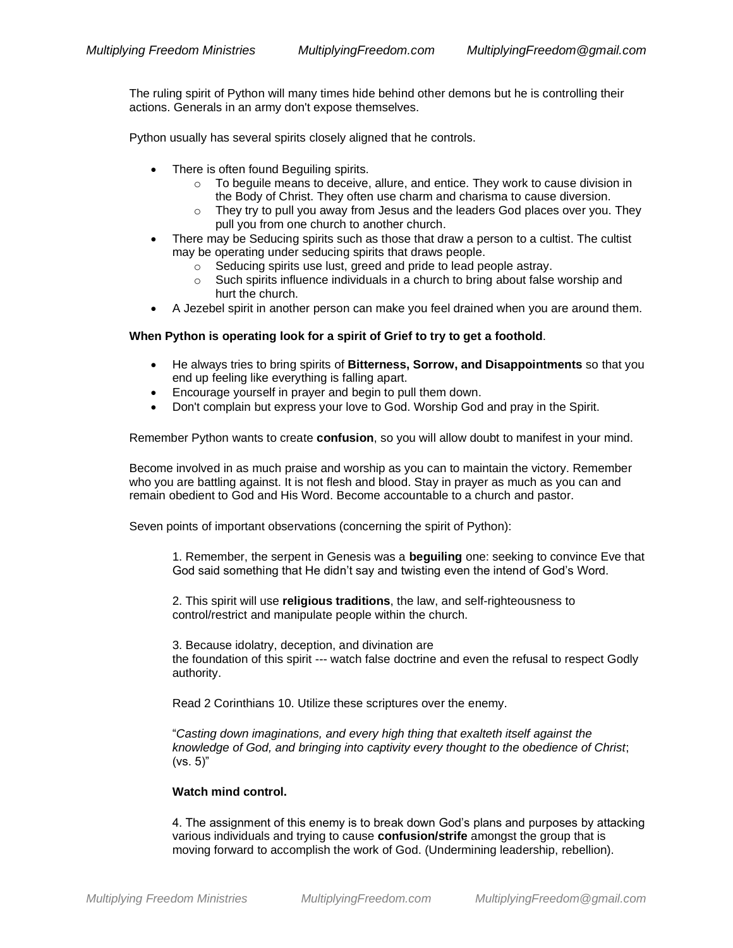The ruling spirit of Python will many times hide behind other demons but he is controlling their actions. Generals in an army don't expose themselves.

Python usually has several spirits closely aligned that he controls.

- There is often found Beguiling spirits.
	- $\circ$  To beguile means to deceive, allure, and entice. They work to cause division in the Body of Christ. They often use charm and charisma to cause diversion.
	- $\circ$  They try to pull you away from Jesus and the leaders God places over you. They pull you from one church to another church.
- There may be Seducing spirits such as those that draw a person to a cultist. The cultist may be operating under seducing spirits that draws people.
	- o Seducing spirits use lust, greed and pride to lead people astray.
	- $\circ$  Such spirits influence individuals in a church to bring about false worship and hurt the church.
- A Jezebel spirit in another person can make you feel drained when you are around them.

## **When Python is operating look for a spirit of Grief to try to get a foothold**.

- He always tries to bring spirits of **Bitterness, Sorrow, and Disappointments** so that you end up feeling like everything is falling apart.
- Encourage yourself in prayer and begin to pull them down.
- Don't complain but express your love to God. Worship God and pray in the Spirit.

Remember Python wants to create **confusion**, so you will allow doubt to manifest in your mind.

Become involved in as much praise and worship as you can to maintain the victory. Remember who you are battling against. It is not flesh and blood. Stay in prayer as much as you can and remain obedient to God and His Word. Become accountable to a church and pastor.

Seven points of important observations (concerning the spirit of Python):

1. Remember, the serpent in Genesis was a **beguiling** one: seeking to convince Eve that God said something that He didn't say and twisting even the intend of God's Word.

2. This spirit will use **religious traditions**, the law, and self-righteousness to control/restrict and manipulate people within the church.

3. Because idolatry, deception, and divination are the foundation of this spirit --- watch false doctrine and even the refusal to respect Godly authority.

Read 2 Corinthians 10. Utilize these scriptures over the enemy.

"*Casting down imaginations, and every high thing that exalteth itself against the knowledge of God, and bringing into captivity every thought to the obedience of Christ*; (vs. 5)"

## **Watch mind control.**

4. The assignment of this enemy is to break down God's plans and purposes by attacking various individuals and trying to cause **confusion/strife** amongst the group that is moving forward to accomplish the work of God. (Undermining leadership, rebellion).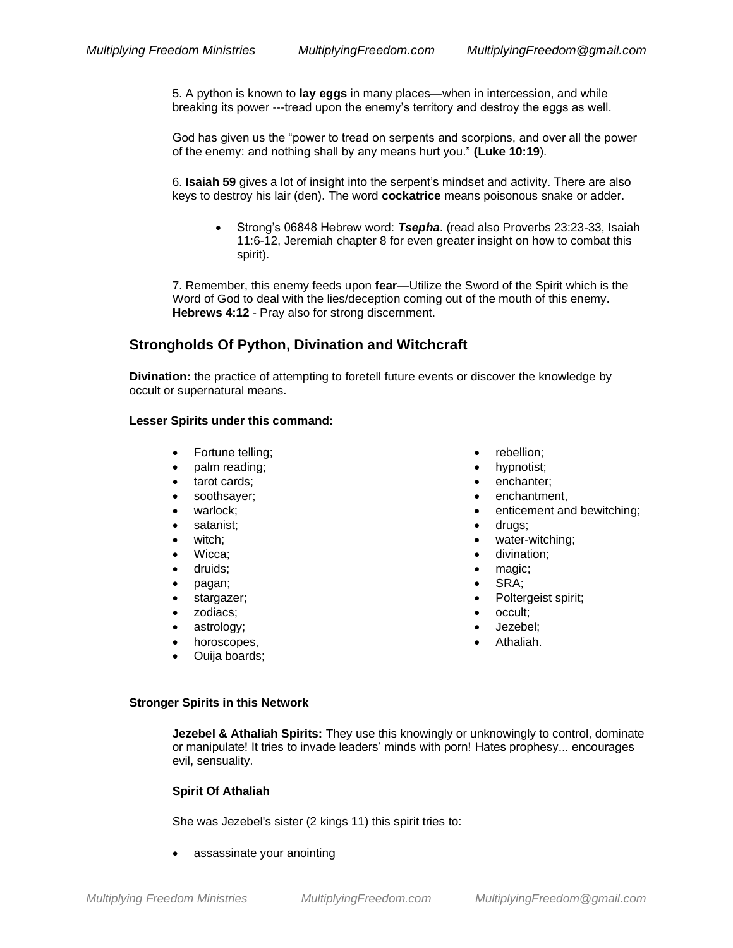5. A python is known to **lay eggs** in many places—when in intercession, and while breaking its power ---tread upon the enemy's territory and destroy the eggs as well.

God has given us the "power to tread on serpents and scorpions, and over all the power of the enemy: and nothing shall by any means hurt you." **(Luke 10:19**).

6. **Isaiah 59** gives a lot of insight into the serpent's mindset and activity. There are also keys to destroy his lair (den). The word **cockatrice** means poisonous snake or adder.

• Strong's 06848 Hebrew word: *Tsepha*. (read also Proverbs 23:23-33, Isaiah 11:6-12, Jeremiah chapter 8 for even greater insight on how to combat this spirit).

7. Remember, this enemy feeds upon **fear**—Utilize the Sword of the Spirit which is the Word of God to deal with the lies/deception coming out of the mouth of this enemy. **Hebrews 4:12** - Pray also for strong discernment.

## **Strongholds Of Python, Divination and Witchcraft**

**Divination:** the practice of attempting to foretell future events or discover the knowledge by occult or supernatural means.

#### **Lesser Spirits under this command:**

- Fortune telling;
- palm reading;
- tarot cards;
- soothsayer;
- warlock;
- satanist;
- witch;
- Wicca:
- druids;
- pagan;
- stargazer;
- zodiacs;
- astrology;
- horoscopes,
- Ouija boards;
- rebellion:
- hypnotist;
- enchanter;
- enchantment,
- enticement and bewitching;
- drugs;
- water-witching;
- divination;
- magic:
- SRA;
- Poltergeist spirit;
- occult;
- Jezebel;
- Athaliah.

#### **Stronger Spirits in this Network**

**Jezebel & Athaliah Spirits:** They use this knowingly or unknowingly to control, dominate or manipulate! It tries to invade leaders' minds with porn! Hates prophesy... encourages evil, sensuality.

## **Spirit Of Athaliah**

She was Jezebel's sister (2 kings 11) this spirit tries to:

• assassinate your anointing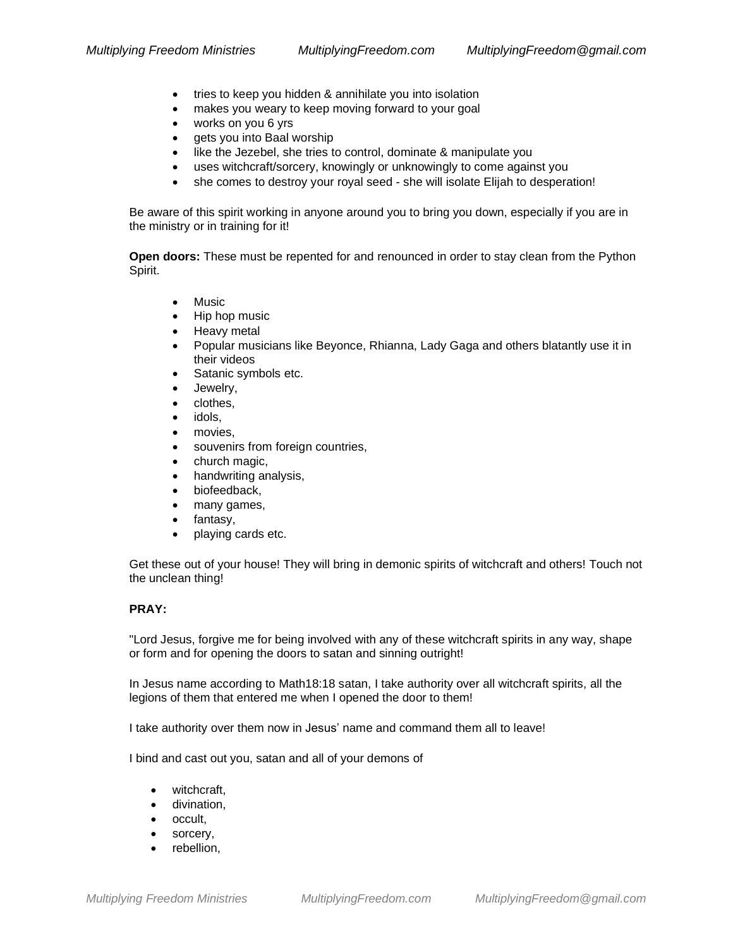- tries to keep you hidden & annihilate you into isolation
- makes you weary to keep moving forward to your goal
- works on you 6 yrs
- gets you into Baal worship
- like the Jezebel, she tries to control, dominate & manipulate you
- uses witchcraft/sorcery, knowingly or unknowingly to come against you
- she comes to destroy your royal seed she will isolate Elijah to desperation!

Be aware of this spirit working in anyone around you to bring you down, especially if you are in the ministry or in training for it!

**Open doors:** These must be repented for and renounced in order to stay clean from the Python Spirit.

- Music
- Hip hop music
- Heavy metal
- Popular musicians like Beyonce, Rhianna, Lady Gaga and others blatantly use it in their videos
- Satanic symbols etc.
- Jewelry,
- clothes,
- idols.
- movies.
- souvenirs from foreign countries,
- church magic,
- handwriting analysis,
- biofeedback,
- many games,
- fantasy,
- playing cards etc.

Get these out of your house! They will bring in demonic spirits of witchcraft and others! Touch not the unclean thing!

## **PRAY:**

"Lord Jesus, forgive me for being involved with any of these witchcraft spirits in any way, shape or form and for opening the doors to satan and sinning outright!

In Jesus name according to Math18:18 satan, I take authority over all witchcraft spirits, all the legions of them that entered me when I opened the door to them!

I take authority over them now in Jesus' name and command them all to leave!

I bind and cast out you, satan and all of your demons of

- witchcraft,
- divination,
- occult,
- sorcery,
- rebellion,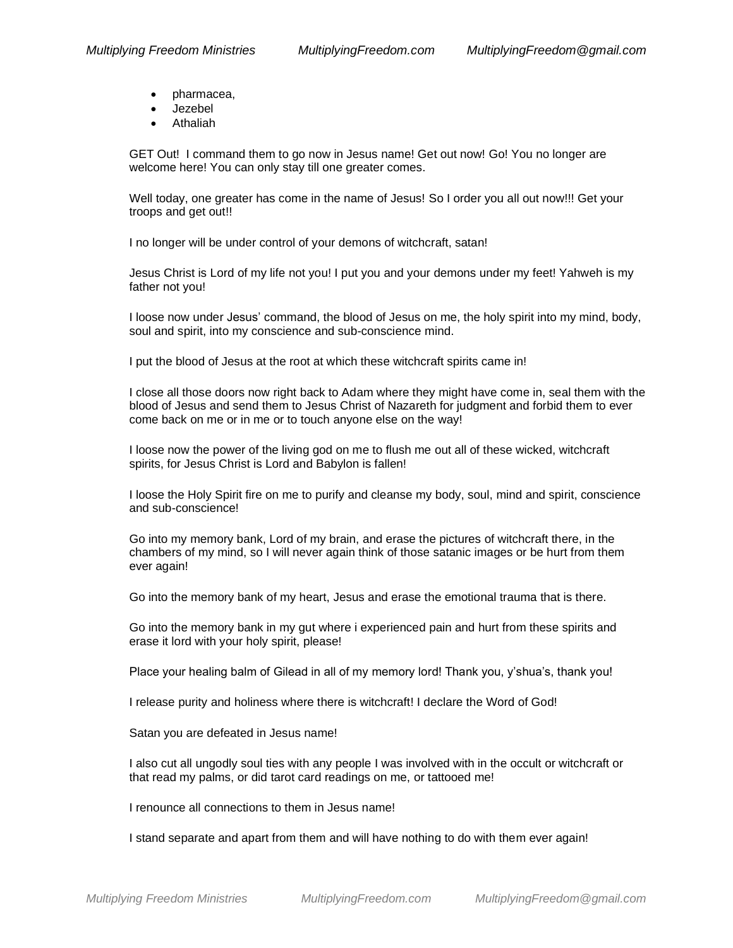- pharmacea,
- Jezebel
- Athaliah

GET Out! I command them to go now in Jesus name! Get out now! Go! You no longer are welcome here! You can only stay till one greater comes.

Well today, one greater has come in the name of Jesus! So I order you all out now!!! Get your troops and get out!!

I no longer will be under control of your demons of witchcraft, satan!

Jesus Christ is Lord of my life not you! I put you and your demons under my feet! Yahweh is my father not you!

I loose now under Jesus' command, the blood of Jesus on me, the holy spirit into my mind, body, soul and spirit, into my conscience and sub-conscience mind.

I put the blood of Jesus at the root at which these witchcraft spirits came in!

I close all those doors now right back to Adam where they might have come in, seal them with the blood of Jesus and send them to Jesus Christ of Nazareth for judgment and forbid them to ever come back on me or in me or to touch anyone else on the way!

I loose now the power of the living god on me to flush me out all of these wicked, witchcraft spirits, for Jesus Christ is Lord and Babylon is fallen!

I loose the Holy Spirit fire on me to purify and cleanse my body, soul, mind and spirit, conscience and sub-conscience!

Go into my memory bank, Lord of my brain, and erase the pictures of witchcraft there, in the chambers of my mind, so I will never again think of those satanic images or be hurt from them ever again!

Go into the memory bank of my heart, Jesus and erase the emotional trauma that is there.

Go into the memory bank in my gut where i experienced pain and hurt from these spirits and erase it lord with your holy spirit, please!

Place your healing balm of Gilead in all of my memory lord! Thank you, y'shua's, thank you!

I release purity and holiness where there is witchcraft! I declare the Word of God!

Satan you are defeated in Jesus name!

I also cut all ungodly soul ties with any people I was involved with in the occult or witchcraft or that read my palms, or did tarot card readings on me, or tattooed me!

I renounce all connections to them in Jesus name!

I stand separate and apart from them and will have nothing to do with them ever again!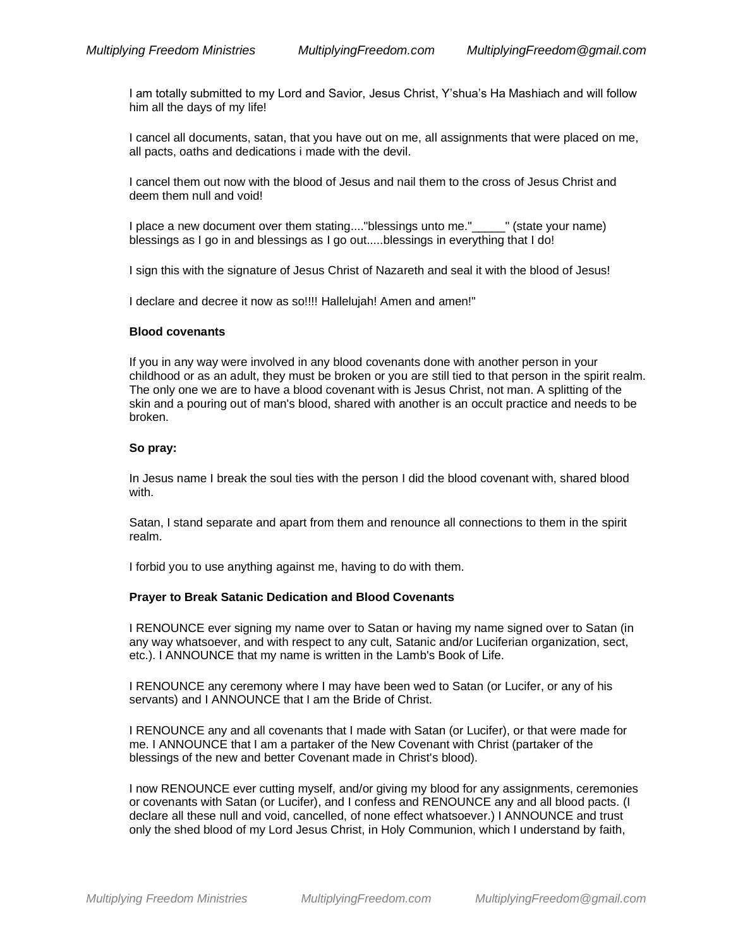I am totally submitted to my Lord and Savior, Jesus Christ, Y'shua's Ha Mashiach and will follow him all the days of my life!

I cancel all documents, satan, that you have out on me, all assignments that were placed on me, all pacts, oaths and dedications i made with the devil.

I cancel them out now with the blood of Jesus and nail them to the cross of Jesus Christ and deem them null and void!

I place a new document over them stating...."blessings unto me."\_\_\_\_\_" (state your name) blessings as I go in and blessings as I go out.....blessings in everything that I do!

I sign this with the signature of Jesus Christ of Nazareth and seal it with the blood of Jesus!

I declare and decree it now as so!!!! Hallelujah! Amen and amen!"

#### **Blood covenants**

If you in any way were involved in any blood covenants done with another person in your childhood or as an adult, they must be broken or you are still tied to that person in the spirit realm. The only one we are to have a blood covenant with is Jesus Christ, not man. A splitting of the skin and a pouring out of man's blood, shared with another is an occult practice and needs to be broken.

#### **So pray:**

In Jesus name I break the soul ties with the person I did the blood covenant with, shared blood with.

Satan, I stand separate and apart from them and renounce all connections to them in the spirit realm.

I forbid you to use anything against me, having to do with them.

## **Prayer to Break Satanic Dedication and Blood Covenants**

I RENOUNCE ever signing my name over to Satan or having my name signed over to Satan (in any way whatsoever, and with respect to any cult, Satanic and/or Luciferian organization, sect, etc.). I ANNOUNCE that my name is written in the Lamb's Book of Life.

I RENOUNCE any ceremony where I may have been wed to Satan (or Lucifer, or any of his servants) and I ANNOUNCE that I am the Bride of Christ.

I RENOUNCE any and all covenants that I made with Satan (or Lucifer), or that were made for me. I ANNOUNCE that I am a partaker of the New Covenant with Christ (partaker of the blessings of the new and better Covenant made in Christ's blood).

I now RENOUNCE ever cutting myself, and/or giving my blood for any assignments, ceremonies or covenants with Satan (or Lucifer), and I confess and RENOUNCE any and all blood pacts. (I declare all these null and void, cancelled, of none effect whatsoever.) I ANNOUNCE and trust only the shed blood of my Lord Jesus Christ, in Holy Communion, which I understand by faith,